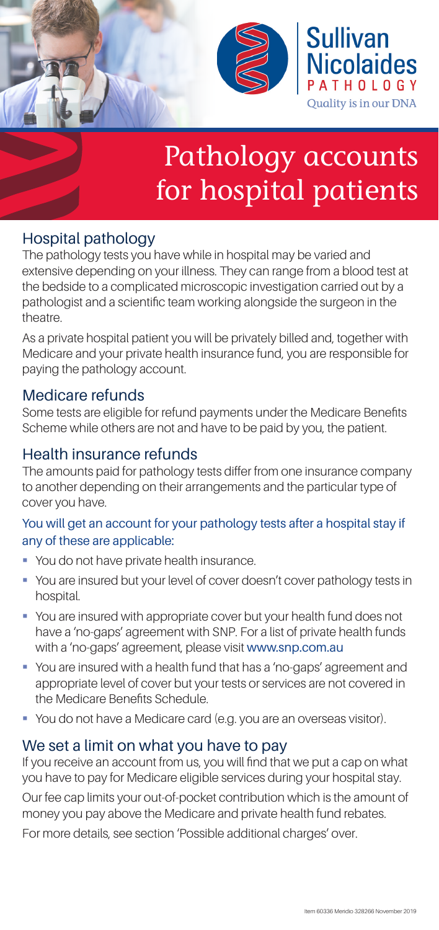

# Pathology accounts for hospital patients

## Hospital pathology

The pathology tests you have while in hospital may be varied and extensive depending on your illness. They can range from a blood test at the bedside to a complicated microscopic investigation carried out by a pathologist and a scientific team working alongside the surgeon in the theatre.

As a private hospital patient you will be privately billed and, together with Medicare and your private health insurance fund, you are responsible for paying the pathology account.

## Medicare refunds

Some tests are eligible for refund payments under the Medicare Benefits Scheme while others are not and have to be paid by you, the patient.

## Health insurance refunds

The amounts paid for pathology tests differ from one insurance company to another depending on their arrangements and the particular type of cover you have.

### You will get an account for your pathology tests after a hospital stay if any of these are applicable:

- **You do not have private health insurance.**
- You are insured but your level of cover doesn't cover pathology tests in hospital.
- You are insured with appropriate cover but your health fund does not have a 'no-gaps' agreement with SNP. For a list of private health funds with a 'no-gaps' agreement, please visit www.snp.com.au
- You are insured with a health fund that has a 'no-gaps' agreement and appropriate level of cover but your tests or services are not covered in the Medicare Benefits Schedule.
- You do not have a Medicare card (e.g. you are an overseas visitor).

## We set a limit on what you have to pay

If you receive an account from us, you will find that we put a cap on what you have to pay for Medicare eligible services during your hospital stay.

Our fee cap limits your out-of-pocket contribution which is the amount of money you pay above the Medicare and private health fund rebates.

For more details, see section 'Possible additional charges' over.